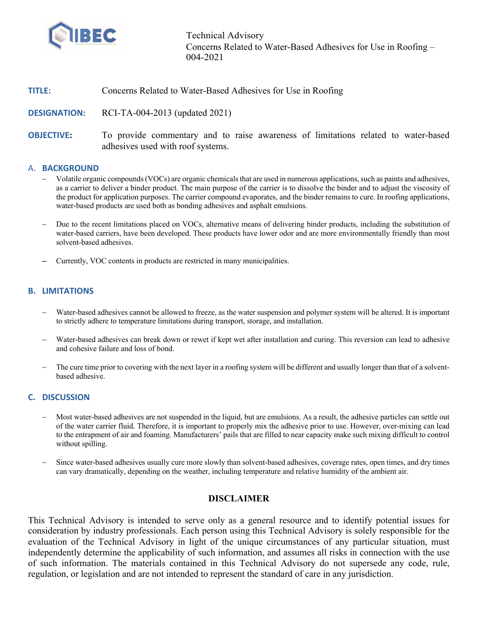

Technical Advisory Concerns Related to Water-Based Adhesives for Use in Roofing – 004-2021

# **TITLE:** Concerns Related to Water-Based Adhesives for Use in Roofing

**DESIGNATION:** RCI-TA-004-2013 (updated 2021)

**OBJECTIVE:** To provide commentary and to raise awareness of limitations related to water-based adhesives used with roof systems.

#### A. **BACKGROUND**

- Volatile organic compounds (VOCs) are organic chemicals that are used in numerous applications,such as paints and adhesives, as a carrier to deliver a binder product. The main purpose of the carrier is to dissolve the binder and to adjust the viscosity of the product for application purposes. The carrier compound evaporates, and the binder remains to cure. In roofing applications, water-based products are used both as bonding adhesives and asphalt emulsions.
- Due to the recent limitations placed on VOCs, alternative means of delivering binder products, including the substitution of water-based carriers, have been developed. These products have lower odor and are more environmentally friendly than most solvent-based adhesives.
- Currently, VOC contents in products are restricted in many municipalities.

#### **B. LIMITATIONS**

- Water-based adhesives cannot be allowed to freeze, as the water suspension and polymer system will be altered. It is important to strictly adhere to temperature limitations during transport, storage, and installation.
- Water-based adhesives can break down or rewet if kept wet after installation and curing. This reversion can lead to adhesive and cohesive failure and loss of bond.
- The cure time prior to covering with the next layer in a roofing system will be different and usually longer than that of a solventbased adhesive.

## **C. DISCUSSION**

- Most water-based adhesives are not suspended in the liquid, but are emulsions. As a result, the adhesive particles can settle out of the water carrier fluid. Therefore, it is important to properly mix the adhesive prior to use. However, over-mixing can lead to the entrapment of air and foaming. Manufacturers' pails that are filled to near capacity make such mixing difficult to control without spilling.
- Since water-based adhesives usually cure more slowly than solvent-based adhesives, coverage rates, open times, and dry times can vary dramatically, depending on the weather, including temperature and relative humidity of the ambient air.

## **DISCLAIMER**

This Technical Advisory is intended to serve only as a general resource and to identify potential issues for consideration by industry professionals. Each person using this Technical Advisory is solely responsible for the evaluation of the Technical Advisory in light of the unique circumstances of any particular situation, must independently determine the applicability of such information, and assumes all risks in connection with the use of such information. The materials contained in this Technical Advisory do not supersede any code, rule, regulation, or legislation and are not intended to represent the standard of care in any jurisdiction.